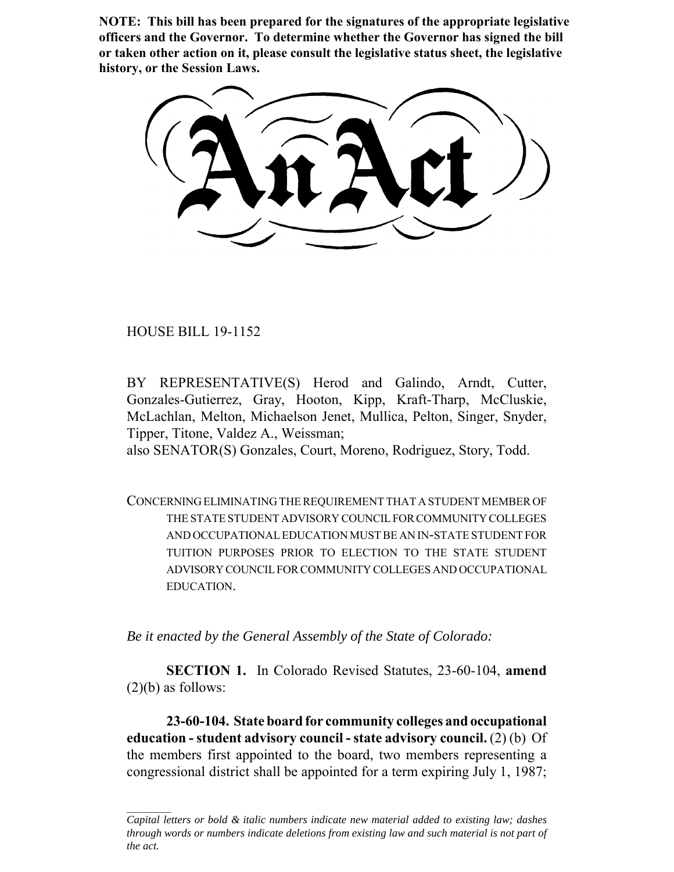**NOTE: This bill has been prepared for the signatures of the appropriate legislative officers and the Governor. To determine whether the Governor has signed the bill or taken other action on it, please consult the legislative status sheet, the legislative history, or the Session Laws.**

HOUSE BILL 19-1152

BY REPRESENTATIVE(S) Herod and Galindo, Arndt, Cutter, Gonzales-Gutierrez, Gray, Hooton, Kipp, Kraft-Tharp, McCluskie, McLachlan, Melton, Michaelson Jenet, Mullica, Pelton, Singer, Snyder, Tipper, Titone, Valdez A., Weissman;

also SENATOR(S) Gonzales, Court, Moreno, Rodriguez, Story, Todd.

CONCERNING ELIMINATING THE REQUIREMENT THAT A STUDENT MEMBER OF THE STATE STUDENT ADVISORY COUNCIL FOR COMMUNITY COLLEGES AND OCCUPATIONAL EDUCATION MUST BE AN IN-STATE STUDENT FOR TUITION PURPOSES PRIOR TO ELECTION TO THE STATE STUDENT ADVISORY COUNCIL FOR COMMUNITY COLLEGES AND OCCUPATIONAL EDUCATION.

*Be it enacted by the General Assembly of the State of Colorado:*

**SECTION 1.** In Colorado Revised Statutes, 23-60-104, **amend**  $(2)(b)$  as follows:

**23-60-104. State board for community colleges and occupational education - student advisory council - state advisory council.** (2) (b) Of the members first appointed to the board, two members representing a congressional district shall be appointed for a term expiring July 1, 1987;

*Capital letters or bold & italic numbers indicate new material added to existing law; dashes through words or numbers indicate deletions from existing law and such material is not part of the act.*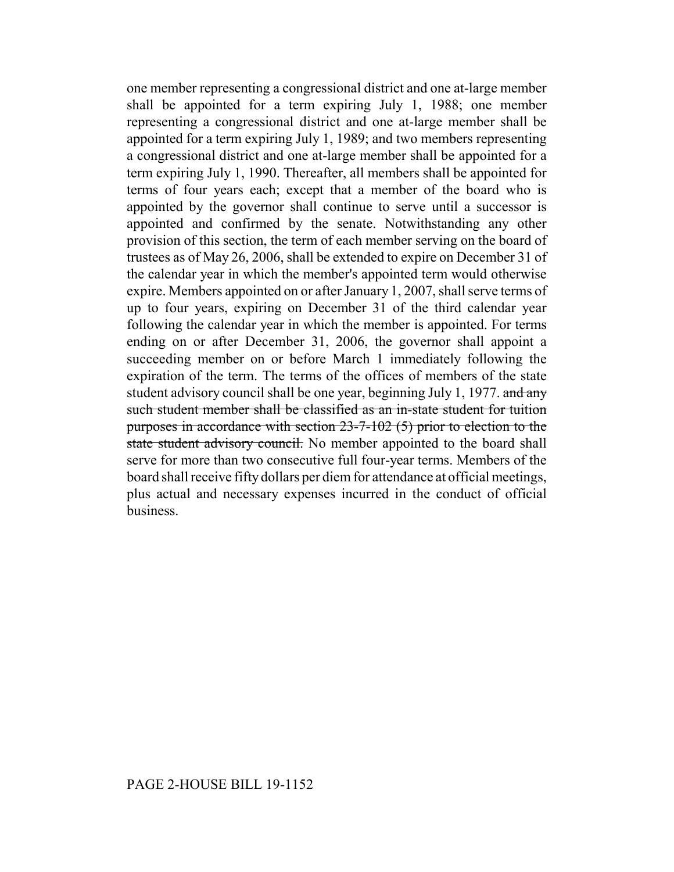one member representing a congressional district and one at-large member shall be appointed for a term expiring July 1, 1988; one member representing a congressional district and one at-large member shall be appointed for a term expiring July 1, 1989; and two members representing a congressional district and one at-large member shall be appointed for a term expiring July 1, 1990. Thereafter, all members shall be appointed for terms of four years each; except that a member of the board who is appointed by the governor shall continue to serve until a successor is appointed and confirmed by the senate. Notwithstanding any other provision of this section, the term of each member serving on the board of trustees as of May 26, 2006, shall be extended to expire on December 31 of the calendar year in which the member's appointed term would otherwise expire. Members appointed on or after January 1, 2007, shall serve terms of up to four years, expiring on December 31 of the third calendar year following the calendar year in which the member is appointed. For terms ending on or after December 31, 2006, the governor shall appoint a succeeding member on or before March 1 immediately following the expiration of the term. The terms of the offices of members of the state student advisory council shall be one year, beginning July 1, 1977. and any such student member shall be classified as an in-state student for tuition purposes in accordance with section 23-7-102 (5) prior to election to the state student advisory council. No member appointed to the board shall serve for more than two consecutive full four-year terms. Members of the board shall receive fifty dollars per diem for attendance at official meetings, plus actual and necessary expenses incurred in the conduct of official business.